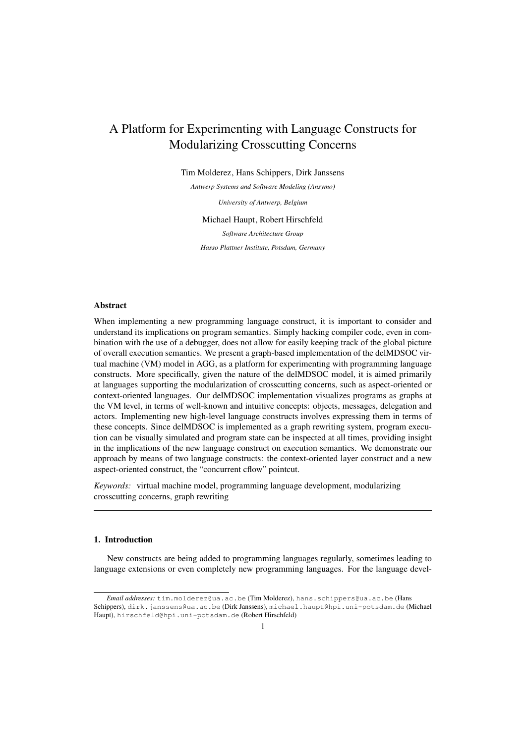# A Platform for Experimenting with Language Constructs for Modularizing Crosscutting Concerns

Tim Molderez, Hans Schippers, Dirk Janssens

*Antwerp Systems and Software Modeling (Ansymo)*

*University of Antwerp, Belgium*

Michael Haupt, Robert Hirschfeld

*Software Architecture Group Hasso Plattner Institute, Potsdam, Germany*

# Abstract

When implementing a new programming language construct, it is important to consider and understand its implications on program semantics. Simply hacking compiler code, even in combination with the use of a debugger, does not allow for easily keeping track of the global picture of overall execution semantics. We present a graph-based implementation of the delMDSOC virtual machine (VM) model in AGG, as a platform for experimenting with programming language constructs. More specifically, given the nature of the delMDSOC model, it is aimed primarily at languages supporting the modularization of crosscutting concerns, such as aspect-oriented or context-oriented languages. Our delMDSOC implementation visualizes programs as graphs at the VM level, in terms of well-known and intuitive concepts: objects, messages, delegation and actors. Implementing new high-level language constructs involves expressing them in terms of these concepts. Since delMDSOC is implemented as a graph rewriting system, program execution can be visually simulated and program state can be inspected at all times, providing insight in the implications of the new language construct on execution semantics. We demonstrate our approach by means of two language constructs: the context-oriented layer construct and a new aspect-oriented construct, the "concurrent cflow" pointcut.

*Keywords:* virtual machine model, programming language development, modularizing crosscutting concerns, graph rewriting

# 1. Introduction

New constructs are being added to programming languages regularly, sometimes leading to language extensions or even completely new programming languages. For the language devel-

*Email addresses:* tim.molderez@ua.ac.be (Tim Molderez), hans.schippers@ua.ac.be (Hans Schippers), dirk.janssens@ua.ac.be (Dirk Janssens), michael.haupt@hpi.uni-potsdam.de (Michael Haupt), hirschfeld@hpi.uni-potsdam.de (Robert Hirschfeld)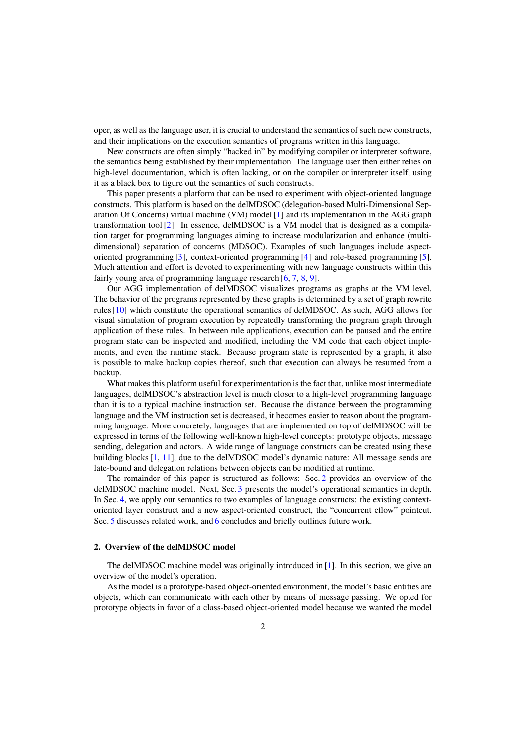oper, as well as the language user, it is crucial to understand the semantics of such new constructs, and their implications on the execution semantics of programs written in this language.

New constructs are often simply "hacked in" by modifying compiler or interpreter software, the semantics being established by their implementation. The language user then either relies on high-level documentation, which is often lacking, or on the compiler or interpreter itself, using it as a black box to figure out the semantics of such constructs.

This paper presents a platform that can be used to experiment with object-oriented language constructs. This platform is based on the delMDSOC (delegation-based Multi-Dimensional Separation Of Concerns) virtual machine (VM) model [\[1\]](#page-15-0) and its implementation in the AGG graph transformation tool [\[2\]](#page-15-1). In essence, delMDSOC is a VM model that is designed as a compilation target for programming languages aiming to increase modularization and enhance (multidimensional) separation of concerns (MDSOC). Examples of such languages include aspectoriented programming [\[3\]](#page-15-2), context-oriented programming [\[4\]](#page-15-3) and role-based programming [\[5\]](#page-15-4). Much attention and effort is devoted to experimenting with new language constructs within this fairly young area of programming language research [\[6,](#page-15-5) [7,](#page-15-6) [8,](#page-16-0) [9\]](#page-16-1).

Our AGG implementation of delMDSOC visualizes programs as graphs at the VM level. The behavior of the programs represented by these graphs is determined by a set of graph rewrite rules [\[10\]](#page-16-2) which constitute the operational semantics of delMDSOC. As such, AGG allows for visual simulation of program execution by repeatedly transforming the program graph through application of these rules. In between rule applications, execution can be paused and the entire program state can be inspected and modified, including the VM code that each object implements, and even the runtime stack. Because program state is represented by a graph, it also is possible to make backup copies thereof, such that execution can always be resumed from a backup.

What makes this platform useful for experimentation is the fact that, unlike most intermediate languages, delMDSOC's abstraction level is much closer to a high-level programming language than it is to a typical machine instruction set. Because the distance between the programming language and the VM instruction set is decreased, it becomes easier to reason about the programming language. More concretely, languages that are implemented on top of delMDSOC will be expressed in terms of the following well-known high-level concepts: prototype objects, message sending, delegation and actors. A wide range of language constructs can be created using these building blocks [\[1,](#page-15-0) [11\]](#page-16-3), due to the delMDSOC model's dynamic nature: All message sends are late-bound and delegation relations between objects can be modified at runtime.

The remainder of this paper is structured as follows: Sec. [2](#page-1-0) provides an overview of the delMDSOC machine model. Next, Sec. [3](#page-5-0) presents the model's operational semantics in depth. In Sec. [4,](#page-9-0) we apply our semantics to two examples of language constructs: the existing contextoriented layer construct and a new aspect-oriented construct, the "concurrent cflow" pointcut. Sec. [5](#page-14-0) discusses related work, and [6](#page-14-1) concludes and briefly outlines future work.

## <span id="page-1-0"></span>2. Overview of the delMDSOC model

The delMDSOC machine model was originally introduced in [\[1\]](#page-15-0). In this section, we give an overview of the model's operation.

As the model is a prototype-based object-oriented environment, the model's basic entities are objects, which can communicate with each other by means of message passing. We opted for prototype objects in favor of a class-based object-oriented model because we wanted the model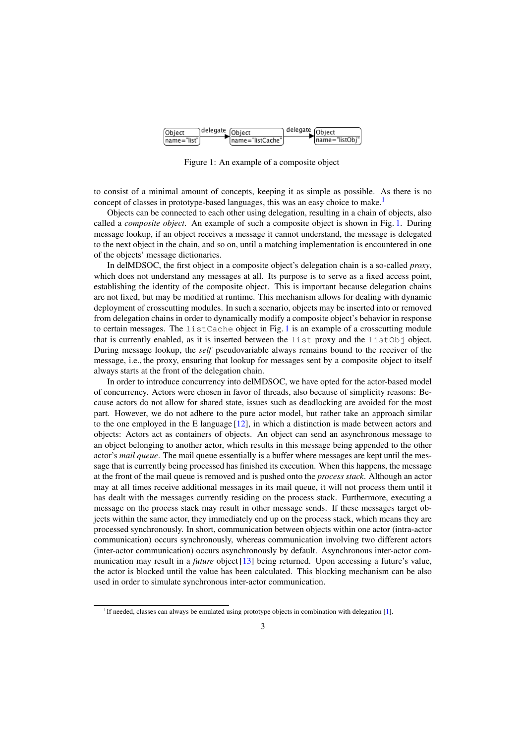<span id="page-2-1"></span>

Figure 1: An example of a composite object

to consist of a minimal amount of concepts, keeping it as simple as possible. As there is no concept of classes in prototype-based languages, this was an easy choice to make.<sup>[1](#page-2-0)</sup>

Objects can be connected to each other using delegation, resulting in a chain of objects, also called a *composite object*. An example of such a composite object is shown in Fig. [1.](#page-2-1) During message lookup, if an object receives a message it cannot understand, the message is delegated to the next object in the chain, and so on, until a matching implementation is encountered in one of the objects' message dictionaries.

In delMDSOC, the first object in a composite object's delegation chain is a so-called *proxy*, which does not understand any messages at all. Its purpose is to serve as a fixed access point, establishing the identity of the composite object. This is important because delegation chains are not fixed, but may be modified at runtime. This mechanism allows for dealing with dynamic deployment of crosscutting modules. In such a scenario, objects may be inserted into or removed from delegation chains in order to dynamically modify a composite object's behavior in response to certain messages. The listCache object in Fig. [1](#page-2-1) is an example of a crosscutting module that is currently enabled, as it is inserted between the list proxy and the list $Ob<sub>1</sub>$  object. During message lookup, the *self* pseudovariable always remains bound to the receiver of the message, i.e., the proxy, ensuring that lookup for messages sent by a composite object to itself always starts at the front of the delegation chain.

In order to introduce concurrency into delMDSOC, we have opted for the actor-based model of concurrency. Actors were chosen in favor of threads, also because of simplicity reasons: Because actors do not allow for shared state, issues such as deadlocking are avoided for the most part. However, we do not adhere to the pure actor model, but rather take an approach similar to the one employed in the E language  $[12]$ , in which a distinction is made between actors and objects: Actors act as containers of objects. An object can send an asynchronous message to an object belonging to another actor, which results in this message being appended to the other actor's *mail queue*. The mail queue essentially is a buffer where messages are kept until the message that is currently being processed has finished its execution. When this happens, the message at the front of the mail queue is removed and is pushed onto the *process stack*. Although an actor may at all times receive additional messages in its mail queue, it will not process them until it has dealt with the messages currently residing on the process stack. Furthermore, executing a message on the process stack may result in other message sends. If these messages target objects within the same actor, they immediately end up on the process stack, which means they are processed synchronously. In short, communication between objects within one actor (intra-actor communication) occurs synchronously, whereas communication involving two different actors (inter-actor communication) occurs asynchronously by default. Asynchronous inter-actor communication may result in a *future* object [\[13\]](#page-16-5) being returned. Upon accessing a future's value, the actor is blocked until the value has been calculated. This blocking mechanism can be also used in order to simulate synchronous inter-actor communication.

<span id="page-2-0"></span><sup>&</sup>lt;sup>1</sup>If needed, classes can always be emulated using prototype objects in combination with delegation [\[1\]](#page-15-0).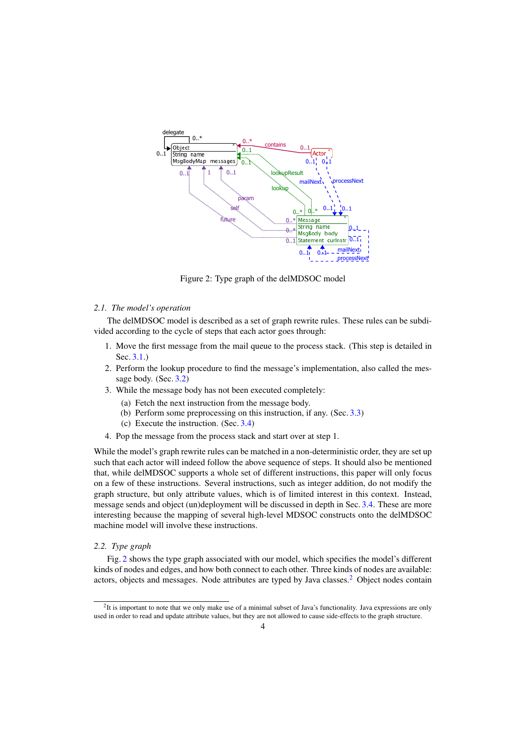<span id="page-3-0"></span>

Figure 2: Type graph of the delMDSOC model

# *2.1. The model's operation*

The delMDSOC model is described as a set of graph rewrite rules. These rules can be subdivided according to the cycle of steps that each actor goes through:

- 1. Move the first message from the mail queue to the process stack. (This step is detailed in Sec. [3.1.](#page-5-1))
- 2. Perform the lookup procedure to find the message's implementation, also called the message body. (Sec. [3.2\)](#page-5-2)
- 3. While the message body has not been executed completely:
	- (a) Fetch the next instruction from the message body.
	- (b) Perform some preprocessing on this instruction, if any. (Sec. [3.3\)](#page-6-0)
	- (c) Execute the instruction. (Sec. [3.4\)](#page-6-1)
- 4. Pop the message from the process stack and start over at step 1.

While the model's graph rewrite rules can be matched in a non-deterministic order, they are set up such that each actor will indeed follow the above sequence of steps. It should also be mentioned that, while delMDSOC supports a whole set of different instructions, this paper will only focus on a few of these instructions. Several instructions, such as integer addition, do not modify the graph structure, but only attribute values, which is of limited interest in this context. Instead, message sends and object (un)deployment will be discussed in depth in Sec. [3.4.](#page-6-1) These are more interesting because the mapping of several high-level MDSOC constructs onto the delMDSOC machine model will involve these instructions.

# *2.2. Type graph*

Fig. [2](#page-3-0) shows the type graph associated with our model, which specifies the model's different kinds of nodes and edges, and how both connect to each other. Three kinds of nodes are available: actors, objects and messages. Node attributes are typed by Java classes.[2](#page-3-1) Object nodes contain

<span id="page-3-1"></span> ${}^{2}$ It is important to note that we only make use of a minimal subset of Java's functionality. Java expressions are only used in order to read and update attribute values, but they are not allowed to cause side-effects to the graph structure.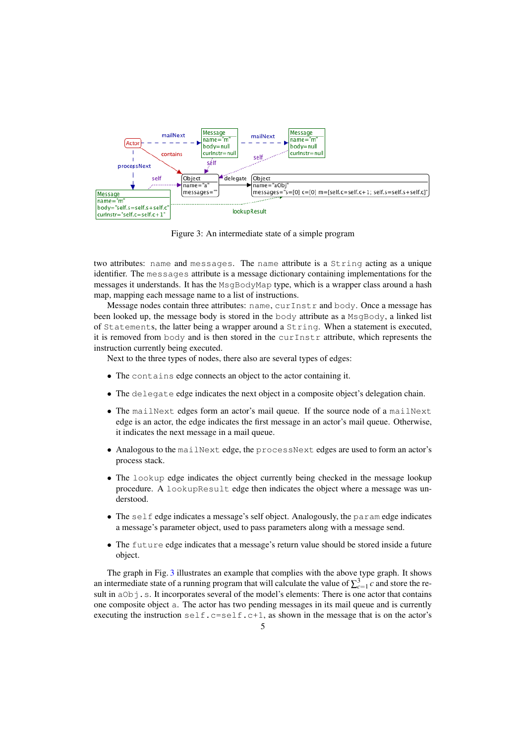<span id="page-4-0"></span>

Figure 3: An intermediate state of a simple program

two attributes: name and messages. The name attribute is a String acting as a unique identifier. The messages attribute is a message dictionary containing implementations for the messages it understands. It has the MsgBodyMap type, which is a wrapper class around a hash map, mapping each message name to a list of instructions.

Message nodes contain three attributes: name, curInstr and body. Once a message has been looked up, the message body is stored in the body attribute as a MsgBody, a linked list of Statements, the latter being a wrapper around a String. When a statement is executed, it is removed from body and is then stored in the curInstr attribute, which represents the instruction currently being executed.

Next to the three types of nodes, there also are several types of edges:

- The contains edge connects an object to the actor containing it.
- The delegate edge indicates the next object in a composite object's delegation chain.
- The mailNext edges form an actor's mail queue. If the source node of a mailNext edge is an actor, the edge indicates the first message in an actor's mail queue. Otherwise, it indicates the next message in a mail queue.
- Analogous to the mailNext edge, the processNext edges are used to form an actor's process stack.
- The lookup edge indicates the object currently being checked in the message lookup procedure. A lookupResult edge then indicates the object where a message was understood.
- The self edge indicates a message's self object. Analogously, the param edge indicates a message's parameter object, used to pass parameters along with a message send.
- The future edge indicates that a message's return value should be stored inside a future object.

The graph in Fig. [3](#page-4-0) illustrates an example that complies with the above type graph. It shows an intermediate state of a running program that will calculate the value of  $\sum_{c=1}^{3} c$  and store the result in  $a \circ b$  j.s. It incorporates several of the model's elements: There is one actor that contains one composite object a. The actor has two pending messages in its mail queue and is currently executing the instruction  $\text{self.c}=\text{self.c+1}$ , as shown in the message that is on the actor's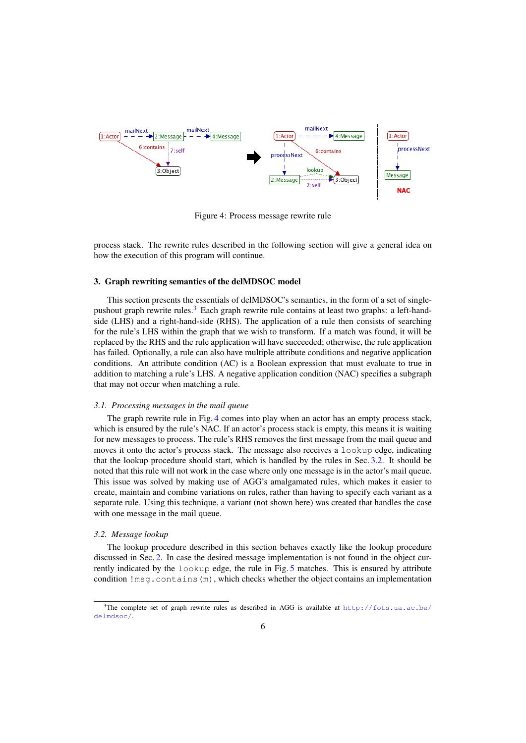<span id="page-5-4"></span>

Figure 4: Process message rewrite rule

process stack. The rewrite rules described in the following section will give a general idea on how the execution of this program will continue.

#### <span id="page-5-0"></span>3. Graph rewriting semantics of the delMDSOC model

This section presents the essentials of delMDSOC's semantics, in the form of a set of single-pushout graph rewrite rules.<sup>[3](#page-5-3)</sup> Each graph rewrite rule contains at least two graphs: a left-handside (LHS) and a right-hand-side (RHS). The application of a rule then consists of searching for the rule's LHS within the graph that we wish to transform. If a match was found, it will be replaced by the RHS and the rule application will have succeeded; otherwise, the rule application has failed. Optionally, a rule can also have multiple attribute conditions and negative application conditions. An attribute condition (AC) is a Boolean expression that must evaluate to true in addition to matching a rule's LHS. A negative application condition (NAC) specifies a subgraph that may not occur when matching a rule.

## <span id="page-5-1"></span>*3.1. Processing messages in the mail queue*

The graph rewrite rule in Fig. [4](#page-5-4) comes into play when an actor has an empty process stack, which is ensured by the rule's NAC. If an actor's process stack is empty, this means it is waiting for new messages to process. The rule's RHS removes the first message from the mail queue and moves it onto the actor's process stack. The message also receives a lookup edge, indicating that the lookup procedure should start, which is handled by the rules in Sec. [3.2.](#page-5-2) It should be noted that this rule will not work in the case where only one message is in the actor's mail queue. This issue was solved by making use of AGG's amalgamated rules, which makes it easier to create, maintain and combine variations on rules, rather than having to specify each variant as a separate rule. Using this technique, a variant (not shown here) was created that handles the case with one message in the mail queue.

# <span id="page-5-2"></span>*3.2. Message lookup*

The lookup procedure described in this section behaves exactly like the lookup procedure discussed in Sec. [2.](#page-1-0) In case the desired message implementation is not found in the object currently indicated by the lookup edge, the rule in Fig. [5](#page-6-2) matches. This is ensured by attribute condition !msg.contains(m), which checks whether the object contains an implementation

<span id="page-5-3"></span><sup>&</sup>lt;sup>3</sup>The complete set of graph rewrite rules as described in AGG is available at  $http://fots.ua.ac.be/$ [delmdsoc/](http://fots.ua.ac.be/delmdsoc/).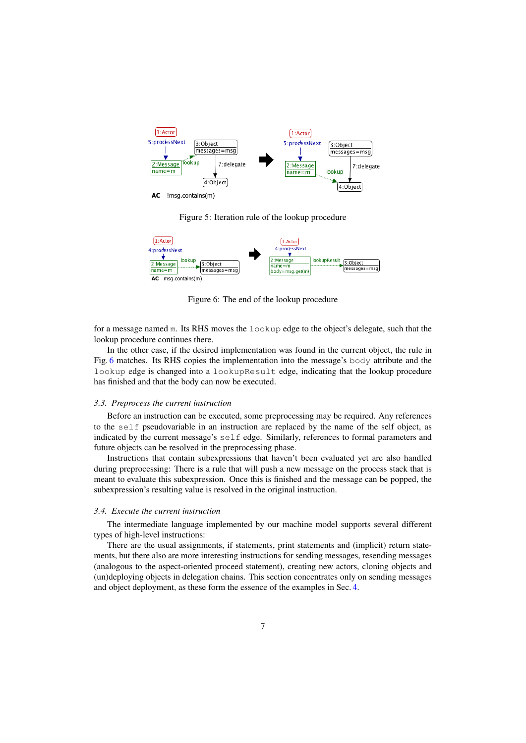<span id="page-6-2"></span>

Figure 5: Iteration rule of the lookup procedure

<span id="page-6-3"></span>

Figure 6: The end of the lookup procedure

for a message named m. Its RHS moves the lookup edge to the object's delegate, such that the lookup procedure continues there.

In the other case, if the desired implementation was found in the current object, the rule in Fig. [6](#page-6-3) matches. Its RHS copies the implementation into the message's body attribute and the lookup edge is changed into a lookupResult edge, indicating that the lookup procedure has finished and that the body can now be executed.

## <span id="page-6-0"></span>*3.3. Preprocess the current instruction*

Before an instruction can be executed, some preprocessing may be required. Any references to the self pseudovariable in an instruction are replaced by the name of the self object, as indicated by the current message's self edge. Similarly, references to formal parameters and future objects can be resolved in the preprocessing phase.

Instructions that contain subexpressions that haven't been evaluated yet are also handled during preprocessing: There is a rule that will push a new message on the process stack that is meant to evaluate this subexpression. Once this is finished and the message can be popped, the subexpression's resulting value is resolved in the original instruction.

#### <span id="page-6-1"></span>*3.4. Execute the current instruction*

The intermediate language implemented by our machine model supports several different types of high-level instructions:

There are the usual assignments, if statements, print statements and (implicit) return statements, but there also are more interesting instructions for sending messages, resending messages (analogous to the aspect-oriented proceed statement), creating new actors, cloning objects and (un)deploying objects in delegation chains. This section concentrates only on sending messages and object deployment, as these form the essence of the examples in Sec. [4.](#page-9-0)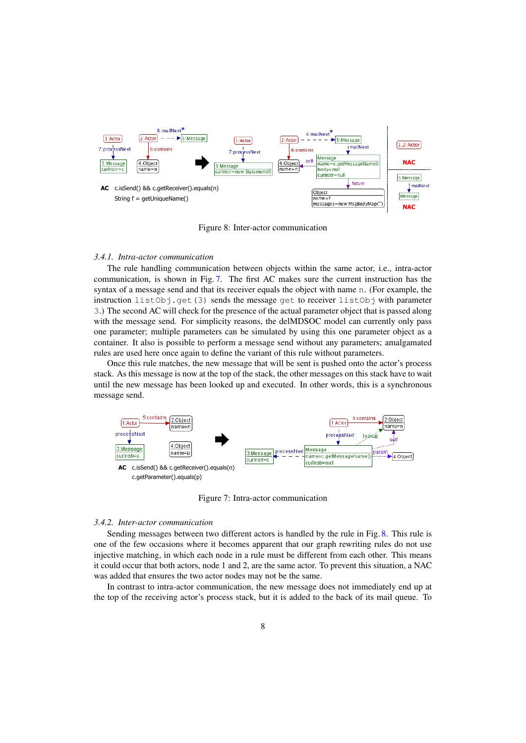<span id="page-7-1"></span>

Figure 8: Inter-actor communication

# *3.4.1. Intra-actor communication*

The rule handling communication between objects within the same actor, i.e., intra-actor communication, is shown in Fig. [7.](#page-7-0) The first AC makes sure the current instruction has the syntax of a message send and that its receiver equals the object with name n. (For example, the instruction listObj.get(3) sends the message get to receiver listObj with parameter 3.) The second AC will check for the presence of the actual parameter object that is passed along with the message send. For simplicity reasons, the delMDSOC model can currently only pass one parameter; multiple parameters can be simulated by using this one parameter object as a container. It also is possible to perform a message send without any parameters; amalgamated rules are used here once again to define the variant of this rule without parameters.

Once this rule matches, the new message that will be sent is pushed onto the actor's process stack. As this message is now at the top of the stack, the other messages on this stack have to wait until the new message has been looked up and executed. In other words, this is a synchronous message send.

<span id="page-7-0"></span>

Figure 7: Intra-actor communication

## <span id="page-7-2"></span>*3.4.2. Inter-actor communication*

Sending messages between two different actors is handled by the rule in Fig. [8.](#page-7-1) This rule is one of the few occasions where it becomes apparent that our graph rewriting rules do not use injective matching, in which each node in a rule must be different from each other. This means it could occur that both actors, node 1 and 2, are the same actor. To prevent this situation, a NAC was added that ensures the two actor nodes may not be the same.

In contrast to intra-actor communication, the new message does not immediately end up at the top of the receiving actor's process stack, but it is added to the back of its mail queue. To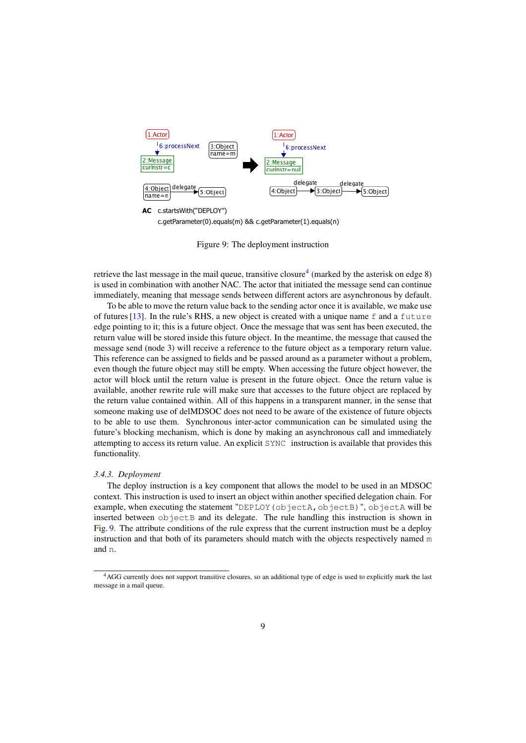<span id="page-8-1"></span>

c.getParameter(0).equals(m) && c.getParameter(1).equals(n)

Figure 9: The deployment instruction

retrieve the last message in the mail queue, transitive closure<sup>[4](#page-8-0)</sup> (marked by the asterisk on edge 8) is used in combination with another NAC. The actor that initiated the message send can continue immediately, meaning that message sends between different actors are asynchronous by default.

To be able to move the return value back to the sending actor once it is available, we make use of futures [\[13\]](#page-16-5). In the rule's RHS, a new object is created with a unique name  $f$  and a future edge pointing to it; this is a future object. Once the message that was sent has been executed, the return value will be stored inside this future object. In the meantime, the message that caused the message send (node 3) will receive a reference to the future object as a temporary return value. This reference can be assigned to fields and be passed around as a parameter without a problem, even though the future object may still be empty. When accessing the future object however, the actor will block until the return value is present in the future object. Once the return value is available, another rewrite rule will make sure that accesses to the future object are replaced by the return value contained within. All of this happens in a transparent manner, in the sense that someone making use of delMDSOC does not need to be aware of the existence of future objects to be able to use them. Synchronous inter-actor communication can be simulated using the future's blocking mechanism, which is done by making an asynchronous call and immediately attempting to access its return value. An explicit SYNC instruction is available that provides this functionality.

#### *3.4.3. Deployment*

The deploy instruction is a key component that allows the model to be used in an MDSOC context. This instruction is used to insert an object within another specified delegation chain. For example, when executing the statement "DEPLOY (objectA, objectB)", objectA will be inserted between  $\circ$ b $\cdot$ jectB and its delegate. The rule handling this instruction is shown in Fig. [9.](#page-8-1) The attribute conditions of the rule express that the current instruction must be a deploy instruction and that both of its parameters should match with the objects respectively named m and n.

<span id="page-8-0"></span><sup>4</sup>AGG currently does not support transitive closures, so an additional type of edge is used to explicitly mark the last message in a mail queue.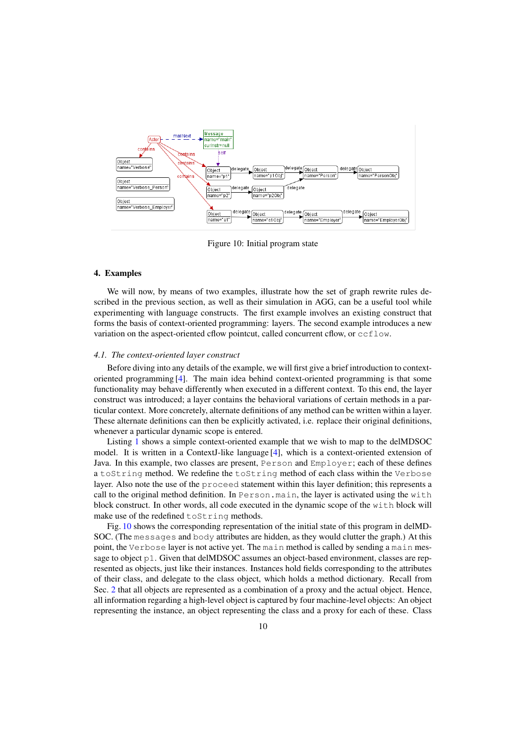<span id="page-9-1"></span>

Figure 10: Initial program state

## <span id="page-9-0"></span>4. Examples

We will now, by means of two examples, illustrate how the set of graph rewrite rules described in the previous section, as well as their simulation in AGG, can be a useful tool while experimenting with language constructs. The first example involves an existing construct that forms the basis of context-oriented programming: layers. The second example introduces a new variation on the aspect-oriented cflow pointcut, called concurrent cflow, or ccflow.

# *4.1. The context-oriented layer construct*

Before diving into any details of the example, we will first give a brief introduction to contextoriented programming [\[4\]](#page-15-3). The main idea behind context-oriented programming is that some functionality may behave differently when executed in a different context. To this end, the layer construct was introduced; a layer contains the behavioral variations of certain methods in a particular context. More concretely, alternate definitions of any method can be written within a layer. These alternate definitions can then be explicitly activated, i.e. replace their original definitions, whenever a particular dynamic scope is entered.

Listing [1](#page-10-0) shows a simple context-oriented example that we wish to map to the delMDSOC model. It is written in a ContextJ-like language [\[4\]](#page-15-3), which is a context-oriented extension of Java. In this example, two classes are present, Person and Employer; each of these defines a toString method. We redefine the toString method of each class within the Verbose layer. Also note the use of the proceed statement within this layer definition; this represents a call to the original method definition. In Person.main, the layer is activated using the with block construct. In other words, all code executed in the dynamic scope of the with block will make use of the redefined toString methods.

Fig. [10](#page-9-1) shows the corresponding representation of the initial state of this program in delMD-SOC. (The messages and body attributes are hidden, as they would clutter the graph.) At this point, the Verbose layer is not active yet. The main method is called by sending a main message to object p1. Given that delMDSOC assumes an object-based environment, classes are represented as objects, just like their instances. Instances hold fields corresponding to the attributes of their class, and delegate to the class object, which holds a method dictionary. Recall from Sec. [2](#page-1-0) that all objects are represented as a combination of a proxy and the actual object. Hence, all information regarding a high-level object is captured by four machine-level objects: An object representing the instance, an object representing the class and a proxy for each of these. Class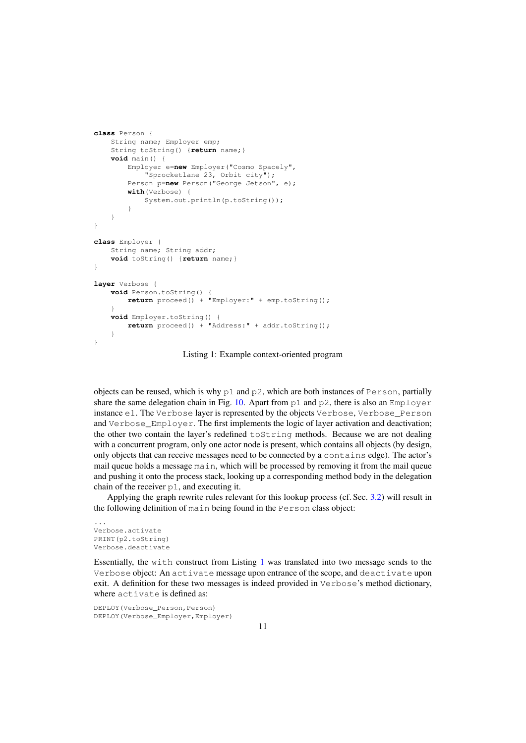```
class Person {
    String name; Employer emp;
    String toString() {return name;}
    void main() {
        Employer e=new Employer("Cosmo Spacely",
            "Sprocketlane 23, Orbit city");
        Person p=new Person("George Jetson", e);
        with(Verbose) {
            System.out.println(p.toString());
        }
    }
}
class Employer {
    String name; String addr;
    void toString() {return name;}
}
layer Verbose {
    void Person.toString() {
        return proceed() + "Employer:" + emp.toString();
    }
    void Employer.toString() {
        return proceed() + "Address:" + addr.toString();
    }
}
```
Listing 1: Example context-oriented program

objects can be reused, which is why p1 and p2, which are both instances of Person, partially share the same delegation chain in Fig. [10.](#page-9-1) Apart from  $p1$  and  $p2$ , there is also an Employer instance e1. The Verbose layer is represented by the objects Verbose, Verbose\_Person and Verbose Employer. The first implements the logic of layer activation and deactivation; the other two contain the layer's redefined toString methods. Because we are not dealing with a concurrent program, only one actor node is present, which contains all objects (by design, only objects that can receive messages need to be connected by a contains edge). The actor's mail queue holds a message main, which will be processed by removing it from the mail queue and pushing it onto the process stack, looking up a corresponding method body in the delegation chain of the receiver p1, and executing it.

Applying the graph rewrite rules relevant for this lookup process (cf. Sec. [3.2\)](#page-5-2) will result in the following definition of main being found in the Person class object:

```
...
Verbose.activate
PRINT(p2.toString)
Verbose.deactivate
```
Essentially, the with construct from Listing [1](#page-10-0) was translated into two message sends to the Verbose object: An activate message upon entrance of the scope, and deactivate upon exit. A definition for these two messages is indeed provided in Verbose's method dictionary, where activate is defined as:

```
DEPLOY(Verbose_Person,Person)
DEPLOY(Verbose_Employer,Employer)
```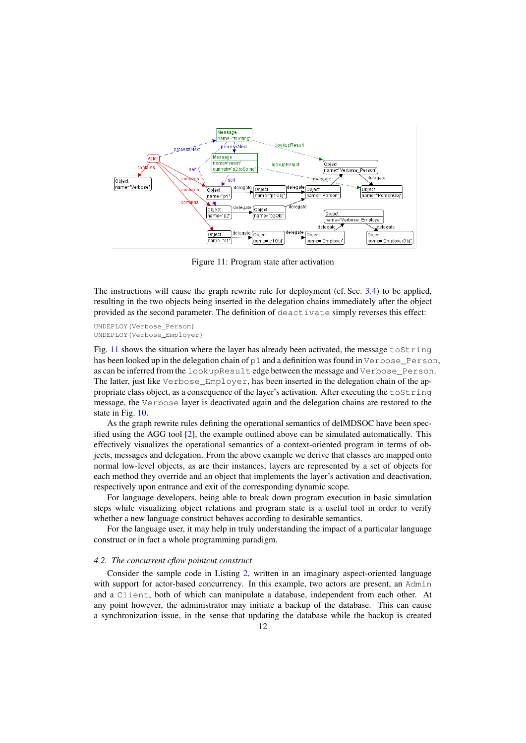<span id="page-11-0"></span>

Figure 11: Program state after activation

The instructions will cause the graph rewrite rule for deployment (cf. Sec. [3.4\)](#page-6-1) to be applied, resulting in the two objects being inserted in the delegation chains immediately after the object provided as the second parameter. The definition of deactivate simply reverses this effect:

```
UNDEPLOY(Verbose_Person)
UNDEPLOY(Verbose_Employer)
```
Fig. [11](#page-11-0) shows the situation where the layer has already been activated, the message  $\text{toString}$ has been looked up in the delegation chain of p1 and a definition was found in Verbose\_Person, as can be inferred from the lookupResult edge between the message and Verbose\_Person. The latter, just like Verbose\_Employer, has been inserted in the delegation chain of the appropriate class object, as a consequence of the layer's activation. After executing the  $\text{to} \text{String}$ message, the Verbose layer is deactivated again and the delegation chains are restored to the state in Fig. [10.](#page-9-1)

As the graph rewrite rules defining the operational semantics of delMDSOC have been specified using the AGG tool [\[2\]](#page-15-1), the example outlined above can be simulated automatically. This effectively visualizes the operational semantics of a context-oriented program in terms of objects, messages and delegation. From the above example we derive that classes are mapped onto normal low-level objects, as are their instances, layers are represented by a set of objects for each method they override and an object that implements the layer's activation and deactivation, respectively upon entrance and exit of the corresponding dynamic scope.

For language developers, being able to break down program execution in basic simulation steps while visualizing object relations and program state is a useful tool in order to verify whether a new language construct behaves according to desirable semantics.

For the language user, it may help in truly understanding the impact of a particular language construct or in fact a whole programming paradigm.

#### *4.2. The concurrent cflow pointcut construct*

Consider the sample code in Listing [2,](#page-12-0) written in an imaginary aspect-oriented language with support for actor-based concurrency. In this example, two actors are present, an Admin and a Client, both of which can manipulate a database, independent from each other. At any point however, the administrator may initiate a backup of the database. This can cause a synchronization issue, in the sense that updating the database while the backup is created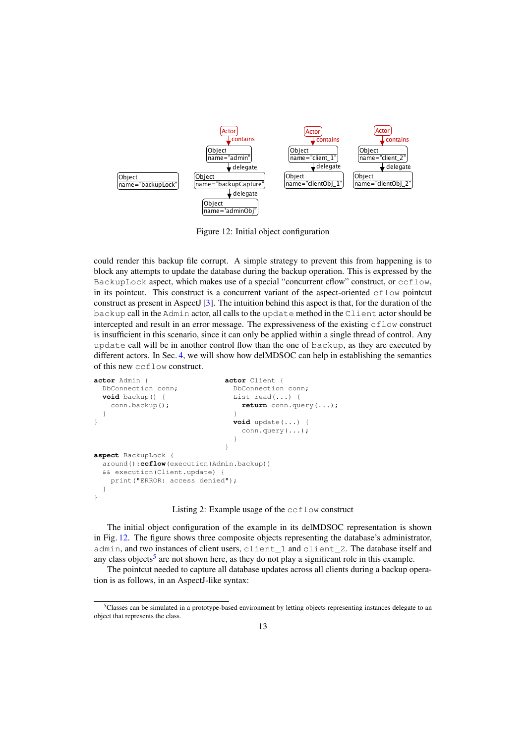<span id="page-12-1"></span>

Figure 12: Initial object configuration

could render this backup file corrupt. A simple strategy to prevent this from happening is to block any attempts to update the database during the backup operation. This is expressed by the BackupLock aspect, which makes use of a special "concurrent cflow" construct, or ccflow, in its pointcut. This construct is a concurrent variant of the aspect-oriented  $cf$ low pointcut construct as present in AspectJ [\[3\]](#page-15-2). The intuition behind this aspect is that, for the duration of the backup call in the Admin actor, all calls to the update method in the Client actor should be intercepted and result in an error message. The expressiveness of the existing cflow construct is insufficient in this scenario, since it can only be applied within a single thread of control. Any update call will be in another control flow than the one of backup, as they are executed by different actors. In Sec. [4,](#page-9-0) we will show how delMDSOC can help in establishing the semantics of this new ccflow construct.

```
actor Admin { actor Client {
 DbConnection conn; DbConnection conn;
 void backup() { List read(...) {
   conn.backup(); return conn.query(...);
 } }
} void update(...) {
                          conn.query(...);
                        }
                       }
aspect BackupLock {
 around():ccflow(execution(Admin.backup))
 && execution(Client.update) {
  print("ERROR: access denied");
 }
}
```
Listing 2: Example usage of the ccflow construct

The initial object configuration of the example in its delMDSOC representation is shown in Fig. [12.](#page-12-1) The figure shows three composite objects representing the database's administrator, admin, and two instances of client users, client\_1 and client\_2. The database itself and any class objects<sup>[5](#page-12-2)</sup> are not shown here, as they do not play a significant role in this example.

The pointcut needed to capture all database updates across all clients during a backup operation is as follows, in an AspectJ-like syntax:

<span id="page-12-2"></span><sup>&</sup>lt;sup>5</sup>Classes can be simulated in a prototype-based environment by letting objects representing instances delegate to an object that represents the class.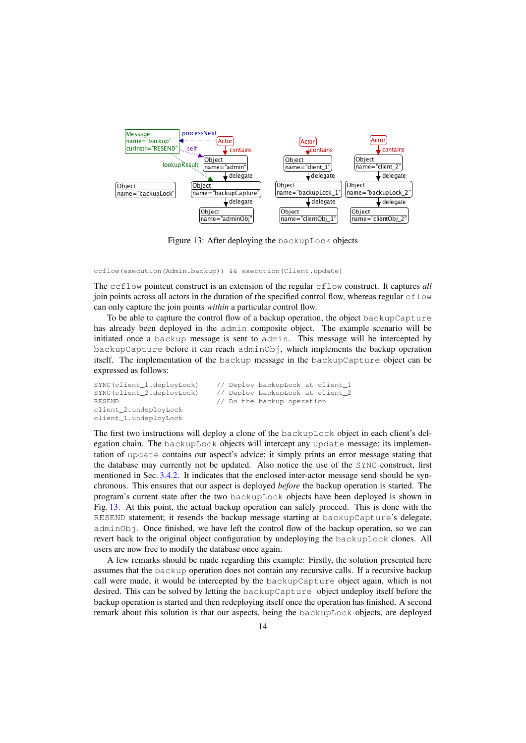<span id="page-13-0"></span>

Figure 13: After deploying the backupLock objects

ccflow(execution(Admin.backup)) && execution(Client.update)

The ccflow pointcut construct is an extension of the regular cflow construct. It captures *all* join points across all actors in the duration of the specified control flow, whereas regular  $c$  flow can only capture the join points *within* a particular control flow.

To be able to capture the control flow of a backup operation, the object backupCapture has already been deployed in the admin composite object. The example scenario will be initiated once a backup message is sent to admin. This message will be intercepted by backupCapture before it can reach adminObj, which implements the backup operation itself. The implementation of the backup message in the backupCapture object can be expressed as follows:

client\_2.undeployLock client\_1.undeployLock

SYNC(client\_1.deployLock) // Deploy backupLock at client\_1 SYNC(client\_2.deployLock) // Deploy backupLock at client\_2 RESEND  $\frac{1}{2}$  // Do the backup operation

The first two instructions will deploy a clone of the backupLock object in each client's delegation chain. The backupLock objects will intercept any update message; its implementation of update contains our aspect's advice; it simply prints an error message stating that the database may currently not be updated. Also notice the use of the SYNC construct, first mentioned in Sec. [3.4.2.](#page-7-2) It indicates that the enclosed inter-actor message send should be synchronous. This ensures that our aspect is deployed *before* the backup operation is started. The program's current state after the two backupLock objects have been deployed is shown in Fig. [13.](#page-13-0) At this point, the actual backup operation can safely proceed. This is done with the RESEND statement; it resends the backup message starting at backupCapture's delegate, adminObj. Once finished, we have left the control flow of the backup operation, so we can revert back to the original object configuration by undeploying the backupLock clones. All users are now free to modify the database once again.

A few remarks should be made regarding this example: Firstly, the solution presented here assumes that the backup operation does not contain any recursive calls. If a recursive backup call were made, it would be intercepted by the backupCapture object again, which is not desired. This can be solved by letting the backupCapture object undeploy itself before the backup operation is started and then redeploying itself once the operation has finished. A second remark about this solution is that our aspects, being the backupLock objects, are deployed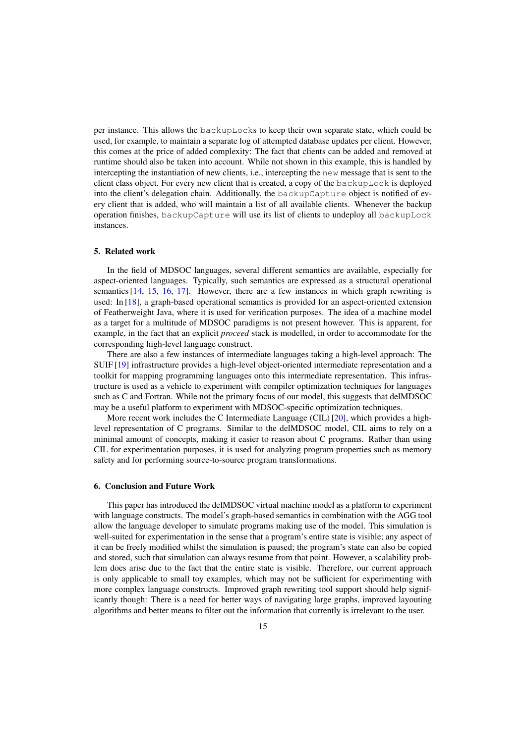per instance. This allows the backupLocks to keep their own separate state, which could be used, for example, to maintain a separate log of attempted database updates per client. However, this comes at the price of added complexity: The fact that clients can be added and removed at runtime should also be taken into account. While not shown in this example, this is handled by intercepting the instantiation of new clients, i.e., intercepting the new message that is sent to the client class object. For every new client that is created, a copy of the backupLock is deployed into the client's delegation chain. Additionally, the backupCapture object is notified of every client that is added, who will maintain a list of all available clients. Whenever the backup operation finishes, backupCapture will use its list of clients to undeploy all backupLock instances.

## <span id="page-14-0"></span>5. Related work

In the field of MDSOC languages, several different semantics are available, especially for aspect-oriented languages. Typically, such semantics are expressed as a structural operational semantics [\[14,](#page-16-6) [15,](#page-16-7) [16,](#page-16-8) [17\]](#page-16-9). However, there are a few instances in which graph rewriting is used: In [\[18\]](#page-16-10), a graph-based operational semantics is provided for an aspect-oriented extension of Featherweight Java, where it is used for verification purposes. The idea of a machine model as a target for a multitude of MDSOC paradigms is not present however. This is apparent, for example, in the fact that an explicit *proceed* stack is modelled, in order to accommodate for the corresponding high-level language construct.

There are also a few instances of intermediate languages taking a high-level approach: The SUIF [\[19\]](#page-16-11) infrastructure provides a high-level object-oriented intermediate representation and a toolkit for mapping programming languages onto this intermediate representation. This infrastructure is used as a vehicle to experiment with compiler optimization techniques for languages such as C and Fortran. While not the primary focus of our model, this suggests that delMDSOC may be a useful platform to experiment with MDSOC-specific optimization techniques.

More recent work includes the C Intermediate Language (CIL) [\[20\]](#page-16-12), which provides a highlevel representation of C programs. Similar to the delMDSOC model, CIL aims to rely on a minimal amount of concepts, making it easier to reason about C programs. Rather than using CIL for experimentation purposes, it is used for analyzing program properties such as memory safety and for performing source-to-source program transformations.

# <span id="page-14-1"></span>6. Conclusion and Future Work

This paper has introduced the delMDSOC virtual machine model as a platform to experiment with language constructs. The model's graph-based semantics in combination with the AGG tool allow the language developer to simulate programs making use of the model. This simulation is well-suited for experimentation in the sense that a program's entire state is visible; any aspect of it can be freely modified whilst the simulation is paused; the program's state can also be copied and stored, such that simulation can always resume from that point. However, a scalability problem does arise due to the fact that the entire state is visible. Therefore, our current approach is only applicable to small toy examples, which may not be sufficient for experimenting with more complex language constructs. Improved graph rewriting tool support should help significantly though: There is a need for better ways of navigating large graphs, improved layouting algorithms and better means to filter out the information that currently is irrelevant to the user.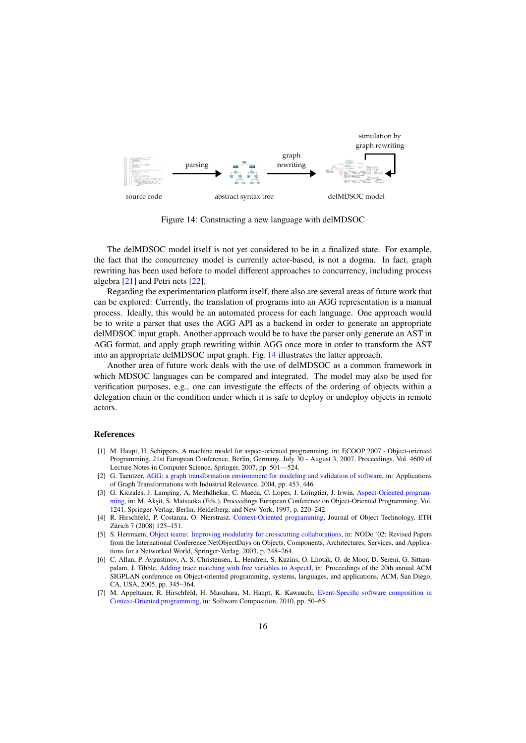<span id="page-15-7"></span>

Figure 14: Constructing a new language with delMDSOC

The delMDSOC model itself is not yet considered to be in a finalized state. For example, the fact that the concurrency model is currently actor-based, is not a dogma. In fact, graph rewriting has been used before to model different approaches to concurrency, including process algebra [\[21\]](#page-16-13) and Petri nets [\[22\]](#page-16-14).

Regarding the experimentation platform itself, there also are several areas of future work that can be explored: Currently, the translation of programs into an AGG representation is a manual process. Ideally, this would be an automated process for each language. One approach would be to write a parser that uses the AGG API as a backend in order to generate an appropriate delMDSOC input graph. Another approach would be to have the parser only generate an AST in AGG format, and apply graph rewriting within AGG once more in order to transform the AST into an appropriate delMDSOC input graph. Fig. [14](#page-15-7) illustrates the latter approach.

Another area of future work deals with the use of delMDSOC as a common framework in which MDSOC languages can be compared and integrated. The model may also be used for verification purposes, e.g., one can investigate the effects of the ordering of objects within a delegation chain or the condition under which it is safe to deploy or undeploy objects in remote actors.

## References

- <span id="page-15-0"></span>[1] M. Haupt, H. Schippers, A machine model for aspect-oriented programming, in: ECOOP 2007 - Object-oriented Programming, 21st European Conference, Berlin, Germany, July 30 - August 3, 2007, Proceedings, Vol. 4609 of Lecture Notes in Computer Science, Springer, 2007, pp. 501—524.
- <span id="page-15-1"></span>[2] G. Taentzer, [AGG: a graph transformation environment for modeling and validation of software,](http://dx.doi.org/10.1007/b98116) in: Applications of Graph Transformations with Industrial Relevance, 2004, pp. 453, 446.
- <span id="page-15-2"></span>[3] G. Kiczales, J. Lamping, A. Menhdhekar, C. Maeda, C. Lopes, J. Loingtier, J. Irwin, [Aspect-Oriented program](http://citeseer.ist.psu.edu/kiczales97aspectoriented.html)[ming,](http://citeseer.ist.psu.edu/kiczales97aspectoriented.html) in: M. Akşit, S. Matsuoka (Eds.), Proceedings European Conference on Object-Oriented Programming, Vol. 1241, Springer-Verlag, Berlin, Heidelberg, and New York, 1997, p. 220–242.
- <span id="page-15-3"></span>[4] R. Hirschfeld, P. Costanza, O. Nierstrasz, [Context-Oriented programming,](http://citeseerx.ist.psu.edu/viewdoc/summary?doi=10.1.1.114.3310) Journal of Object Technology, ETH Zürich 7 (2008) 125–151.
- <span id="page-15-4"></span>[5] S. Herrmann, [Object teams: Improving modularity for crosscutting collaborations,](http://www.objectteams.org/publications/NODe02.pdf) in: NODe '02: Revised Papers from the International Conference NetObjectDays on Objects, Components, Architectures, Services, and Applications for a Networked World, Springer-Verlag, 2003, p. 248–264.
- <span id="page-15-5"></span>[6] C. Allan, P. Avgustinov, A. S. Christensen, L. Hendren, S. Kuzins, O. Lhoták, O. de Moor, D. Sereni, G. Sittampalam, J. Tibble, [Adding trace matching with free variables to AspectJ,](http://portal.acm.org/citation.cfm?id=1094811.1094839) in: Proceedings of the 20th annual ACM SIGPLAN conference on Object-oriented programming, systems, languages, and applications, ACM, San Diego, CA, USA, 2005, pp. 345–364.
- <span id="page-15-6"></span>[7] M. Appeltauer, R. Hirschfeld, H. Masuhara, M. Haupt, K. Kawauchi, [Event-Specific software composition in](http://dx.doi.org/10.1007/978-3-642-14046-4_4) [Context-Oriented programming,](http://dx.doi.org/10.1007/978-3-642-14046-4_4) in: Software Composition, 2010, pp. 50–65.